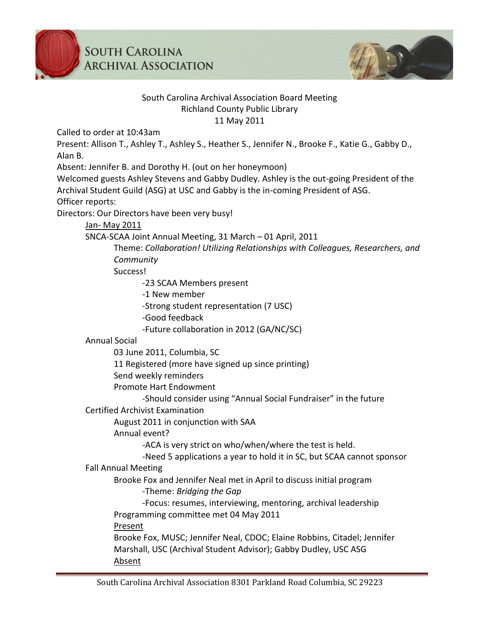

# **SOUTH CAROLINA ARCHIVAL ASSOCIATION**



#### South Carolina Archival Association Board Meeting Richland County Public Library 11 May 2011

Called to order at 10:43am

Present: Allison T., Ashley T., Ashley S., Heather S., Jennifer N., Brooke F., Katie G., Gabby D., Alan B.

Absent: Jennifer B. and Dorothy H. (out on her honeymoon)

Welcomed guests Ashley Stevens and Gabby Dudley. Ashley is the out-going President of the Archival Student Guild (ASG) at USC and Gabby is the in-coming President of ASG.

Officer reports:

Directors: Our Directors have been very busy!

# Jan- May 2011

SNCA-SCAA Joint Annual Meeting, 31 March – 01 April, 2011

Theme: *Collaboration! Utilizing Relationships with Colleagues, Researchers, and Community*

Success!

-23 SCAA Members present

-1 New member

-Strong student representation (7 USC)

- -Good feedback
- -Future collaboration in 2012 (GA/NC/SC)

# Annual Social

03 June 2011, Columbia, SC

11 Registered (more have signed up since printing)

Send weekly reminders

Promote Hart Endowment

-Should consider using "Annual Social Fundraiser" in the future

Certified Archivist Examination

August 2011 in conjunction with SAA

# Annual event?

-ACA is very strict on who/when/where the test is held.

-Need 5 applications a year to hold it in SC, but SCAA cannot sponsor Fall Annual Meeting

Brooke Fox and Jennifer Neal met in April to discuss initial program -Theme: *Bridging the Gap*

-Focus: resumes, interviewing, mentoring, archival leadership Programming committee met 04 May 2011

Present

Brooke Fox, MUSC; Jennifer Neal, CDOC; Elaine Robbins, Citadel; Jennifer Marshall, USC (Archival Student Advisor); Gabby Dudley, USC ASG Absent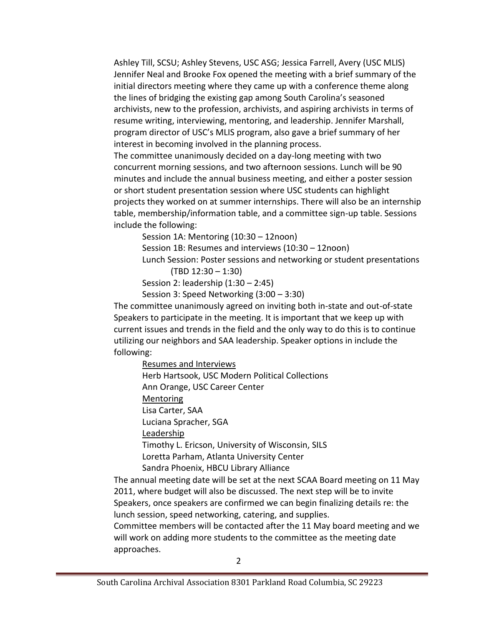Ashley Till, SCSU; Ashley Stevens, USC ASG; Jessica Farrell, Avery (USC MLIS) Jennifer Neal and Brooke Fox opened the meeting with a brief summary of the initial directors meeting where they came up with a conference theme along the lines of bridging the existing gap among South Carolina's seasoned archivists, new to the profession, archivists, and aspiring archivists in terms of resume writing, interviewing, mentoring, and leadership. Jennifer Marshall, program director of USC's MLIS program, also gave a brief summary of her interest in becoming involved in the planning process.

The committee unanimously decided on a day-long meeting with two concurrent morning sessions, and two afternoon sessions. Lunch will be 90 minutes and include the annual business meeting, and either a poster session or short student presentation session where USC students can highlight projects they worked on at summer internships. There will also be an internship table, membership/information table, and a committee sign-up table. Sessions include the following:

Session 1A: Mentoring (10:30 – 12noon)

Session 1B: Resumes and interviews (10:30 – 12noon) Lunch Session: Poster sessions and networking or student presentations (TBD 12:30 – 1:30)

Session 2: leadership (1:30 – 2:45)

Session 3: Speed Networking (3:00 – 3:30)

The committee unanimously agreed on inviting both in-state and out-of-state Speakers to participate in the meeting. It is important that we keep up with current issues and trends in the field and the only way to do this is to continue utilizing our neighbors and SAA leadership. Speaker options in include the following:

Resumes and Interviews

Herb Hartsook, USC Modern Political Collections

Ann Orange, USC Career Center

Mentoring

Lisa Carter, SAA Luciana Spracher, SGA

Leadership

Timothy L. Ericson, University of Wisconsin, SILS

Loretta Parham, Atlanta University Center

Sandra Phoenix, HBCU Library Alliance

The annual meeting date will be set at the next SCAA Board meeting on 11 May 2011, where budget will also be discussed. The next step will be to invite Speakers, once speakers are confirmed we can begin finalizing details re: the lunch session, speed networking, catering, and supplies.

Committee members will be contacted after the 11 May board meeting and we will work on adding more students to the committee as the meeting date approaches.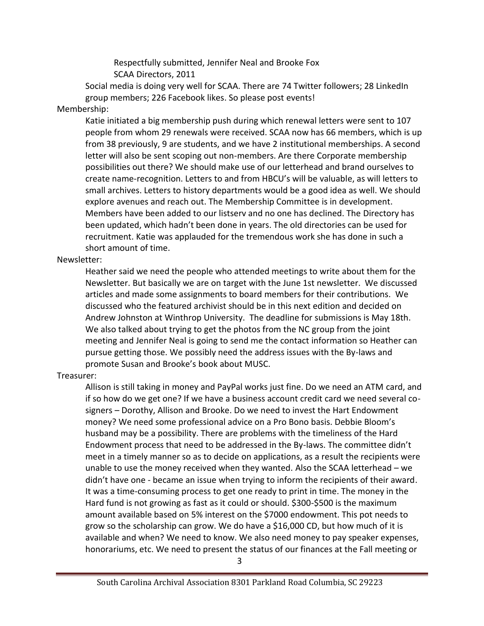Respectfully submitted, Jennifer Neal and Brooke Fox SCAA Directors, 2011

Social media is doing very well for SCAA. There are 74 Twitter followers; 28 LinkedIn group members; 226 Facebook likes. So please post events!

#### Membership:

Katie initiated a big membership push during which renewal letters were sent to 107 people from whom 29 renewals were received. SCAA now has 66 members, which is up from 38 previously, 9 are students, and we have 2 institutional memberships. A second letter will also be sent scoping out non-members. Are there Corporate membership possibilities out there? We should make use of our letterhead and brand ourselves to create name-recognition. Letters to and from HBCU's will be valuable, as will letters to small archives. Letters to history departments would be a good idea as well. We should explore avenues and reach out. The Membership Committee is in development. Members have been added to our listserv and no one has declined. The Directory has been updated, which hadn't been done in years. The old directories can be used for recruitment. Katie was applauded for the tremendous work she has done in such a short amount of time.

#### Newsletter:

Heather said we need the people who attended meetings to write about them for the Newsletter. But basically we are on target with the June 1st newsletter. We discussed articles and made some assignments to board members for their contributions. We discussed who the featured archivist should be in this next edition and decided on Andrew Johnston at Winthrop University. The deadline for submissions is May 18th. We also talked about trying to get the photos from the NC group from the joint meeting and Jennifer Neal is going to send me the contact information so Heather can pursue getting those. We possibly need the address issues with the By-laws and promote Susan and Brooke's book about MUSC.

#### Treasurer:

Allison is still taking in money and PayPal works just fine. Do we need an ATM card, and if so how do we get one? If we have a business account credit card we need several cosigners – Dorothy, Allison and Brooke. Do we need to invest the Hart Endowment money? We need some professional advice on a Pro Bono basis. Debbie Bloom's husband may be a possibility. There are problems with the timeliness of the Hard Endowment process that need to be addressed in the By-laws. The committee didn't meet in a timely manner so as to decide on applications, as a result the recipients were unable to use the money received when they wanted. Also the SCAA letterhead – we didn't have one - became an issue when trying to inform the recipients of their award. It was a time-consuming process to get one ready to print in time. The money in the Hard fund is not growing as fast as it could or should. \$300-\$500 is the maximum amount available based on 5% interest on the \$7000 endowment. This pot needs to grow so the scholarship can grow. We do have a \$16,000 CD, but how much of it is available and when? We need to know. We also need money to pay speaker expenses, honorariums, etc. We need to present the status of our finances at the Fall meeting or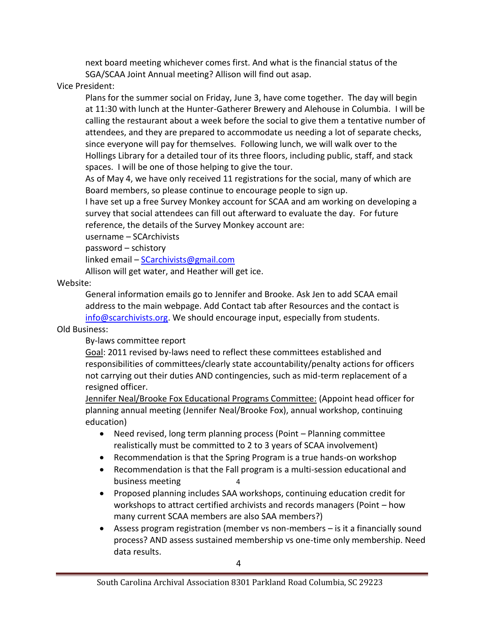next board meeting whichever comes first. And what is the financial status of the SGA/SCAA Joint Annual meeting? Allison will find out asap.

Vice President:

Plans for the summer social on Friday, June 3, have come together. The day will begin at 11:30 with lunch at the Hunter-Gatherer Brewery and Alehouse in Columbia. I will be calling the restaurant about a week before the social to give them a tentative number of attendees, and they are prepared to accommodate us needing a lot of separate checks, since everyone will pay for themselves. Following lunch, we will walk over to the Hollings Library for a detailed tour of its three floors, including public, staff, and stack spaces. I will be one of those helping to give the tour.

As of May 4, we have only received 11 registrations for the social, many of which are Board members, so please continue to encourage people to sign up.

I have set up a free Survey Monkey account for SCAA and am working on developing a survey that social attendees can fill out afterward to evaluate the day. For future reference, the details of the Survey Monkey account are:

username – SCArchivists

password – schistory

linked email – [SCarchivists@gmail.com](mailto:SCarchivists@gmail.com)

Allison will get water, and Heather will get ice.

# Website:

General information emails go to Jennifer and Brooke. Ask Jen to add SCAA email address to the main webpage. Add Contact tab after Resources and the contact is [info@scarchivists.org.](mailto:info@scarchivists.org) We should encourage input, especially from students.

# Old Business:

# By-laws committee report

Goal: 2011 revised by-laws need to reflect these committees established and responsibilities of committees/clearly state accountability/penalty actions for officers not carrying out their duties AND contingencies, such as mid-term replacement of a resigned officer.

Jennifer Neal/Brooke Fox Educational Programs Committee: (Appoint head officer for planning annual meeting (Jennifer Neal/Brooke Fox), annual workshop, continuing education)

- Need revised, long term planning process (Point Planning committee realistically must be committed to 2 to 3 years of SCAA involvement)
- Recommendation is that the Spring Program is a true hands-on workshop
- Recommendation is that the Fall program is a multi-session educational and business meeting 4
- Proposed planning includes SAA workshops, continuing education credit for workshops to attract certified archivists and records managers (Point – how many current SCAA members are also SAA members?)
- Assess program registration (member vs non-members is it a financially sound process? AND assess sustained membership vs one-time only membership. Need data results.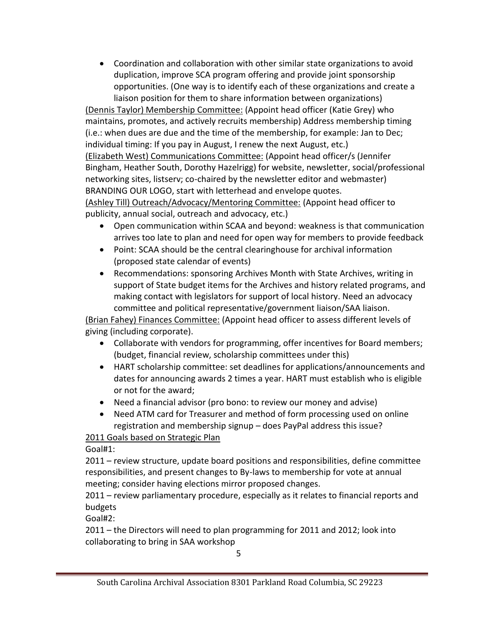Coordination and collaboration with other similar state organizations to avoid duplication, improve SCA program offering and provide joint sponsorship opportunities. (One way is to identify each of these organizations and create a liaison position for them to share information between organizations)

(Dennis Taylor) Membership Committee: (Appoint head officer (Katie Grey) who maintains, promotes, and actively recruits membership) Address membership timing (i.e.: when dues are due and the time of the membership, for example: Jan to Dec; individual timing: If you pay in August, I renew the next August, etc.) (Elizabeth West) Communications Committee: (Appoint head officer/s (Jennifer Bingham, Heather South, Dorothy Hazelrigg) for website, newsletter, social/professional networking sites, listserv; co-chaired by the newsletter editor and webmaster) BRANDING OUR LOGO, start with letterhead and envelope quotes.

(Ashley Till) Outreach/Advocacy/Mentoring Committee: (Appoint head officer to publicity, annual social, outreach and advocacy, etc.)

- Open communication within SCAA and beyond: weakness is that communication arrives too late to plan and need for open way for members to provide feedback
- Point: SCAA should be the central clearinghouse for archival information (proposed state calendar of events)
- Recommendations: sponsoring Archives Month with State Archives, writing in support of State budget items for the Archives and history related programs, and making contact with legislators for support of local history. Need an advocacy committee and political representative/government liaison/SAA liaison.

(Brian Fahey) Finances Committee: (Appoint head officer to assess different levels of giving (including corporate).

- Collaborate with vendors for programming, offer incentives for Board members; (budget, financial review, scholarship committees under this)
- HART scholarship committee: set deadlines for applications/announcements and dates for announcing awards 2 times a year. HART must establish who is eligible or not for the award;
- Need a financial advisor (pro bono: to review our money and advise)
- Need ATM card for Treasurer and method of form processing used on online registration and membership signup – does PayPal address this issue?

# 2011 Goals based on Strategic Plan

# Goal#1:

2011 – review structure, update board positions and responsibilities, define committee responsibilities, and present changes to By-laws to membership for vote at annual meeting; consider having elections mirror proposed changes.

2011 – review parliamentary procedure, especially as it relates to financial reports and budgets

Goal#2:

2011 – the Directors will need to plan programming for 2011 and 2012; look into collaborating to bring in SAA workshop